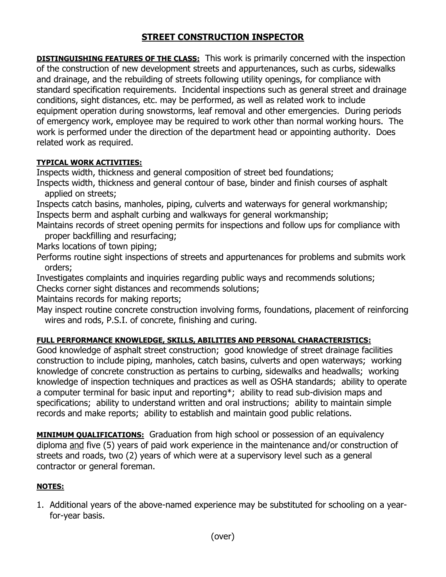## **STREET CONSTRUCTION INSPECTOR**

**DISTINGUISHING FEATURES OF THE CLASS:** This work is primarily concerned with the inspection of the construction of new development streets and appurtenances, such as curbs, sidewalks and drainage, and the rebuilding of streets following utility openings, for compliance with standard specification requirements. Incidental inspections such as general street and drainage conditions, sight distances, etc. may be performed, as well as related work to include equipment operation during snowstorms, leaf removal and other emergencies. During periods of emergency work, employee may be required to work other than normal working hours. The work is performed under the direction of the department head or appointing authority. Does related work as required.

## **TYPICAL WORK ACTIVITIES:**

Inspects width, thickness and general composition of street bed foundations;

Inspects width, thickness and general contour of base, binder and finish courses of asphalt applied on streets;

Inspects catch basins, manholes, piping, culverts and waterways for general workmanship; Inspects berm and asphalt curbing and walkways for general workmanship;

Maintains records of street opening permits for inspections and follow ups for compliance with proper backfilling and resurfacing;

Marks locations of town piping;

Performs routine sight inspections of streets and appurtenances for problems and submits work orders;

Investigates complaints and inquiries regarding public ways and recommends solutions;

Checks corner sight distances and recommends solutions;

Maintains records for making reports;

May inspect routine concrete construction involving forms, foundations, placement of reinforcing wires and rods, P.S.I. of concrete, finishing and curing.

## **FULL PERFORMANCE KNOWLEDGE, SKILLS, ABILITIES AND PERSONAL CHARACTERISTICS:**

Good knowledge of asphalt street construction; good knowledge of street drainage facilities construction to include piping, manholes, catch basins, culverts and open waterways; working knowledge of concrete construction as pertains to curbing, sidewalks and headwalls; working knowledge of inspection techniques and practices as well as OSHA standards; ability to operate a computer terminal for basic input and reporting\*; ability to read sub-division maps and specifications; ability to understand written and oral instructions; ability to maintain simple records and make reports; ability to establish and maintain good public relations.

**MINIMUM QUALIFICATIONS:** Graduation from high school or possession of an equivalency diploma and five (5) years of paid work experience in the maintenance and/or construction of streets and roads, two (2) years of which were at a supervisory level such as a general contractor or general foreman.

## **NOTES:**

1. Additional years of the above-named experience may be substituted for schooling on a yearfor-year basis.